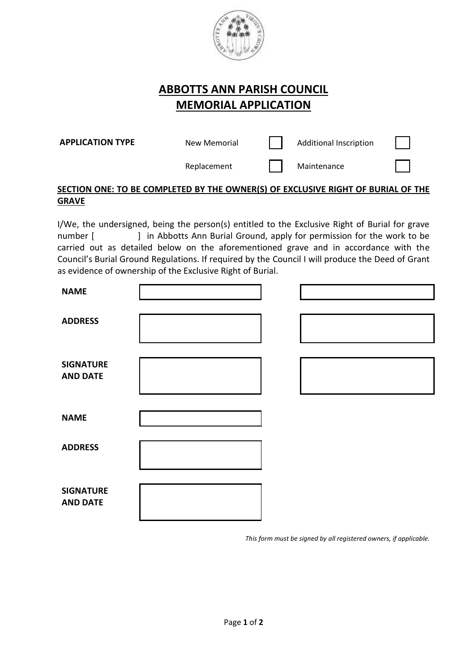

## **ABBOTTS ANN PARISH COUNCIL MEMORIAL APPLICATION**

**APPLICATION TYPE**

New Memorial **Additional Inscription** 

Replacement | Maintenance

## **SECTION ONE: TO BE COMPLETED BY THE OWNER(S) OF EXCLUSIVE RIGHT OF BURIAL OF THE GRAVE**

I/We, the undersigned, being the person(s) entitled to the Exclusive Right of Burial for grave number [ ] in Abbotts Ann Burial Ground, apply for permission for the work to be carried out as detailed below on the aforementioned grave and in accordance with the Council's Burial Ground Regulations. If required by the Council I will produce the Deed of Grant as evidence of ownership of the Exclusive Right of Burial.

| <b>NAME</b>                         |  |  |
|-------------------------------------|--|--|
| <b>ADDRESS</b>                      |  |  |
| <b>SIGNATURE</b><br><b>AND DATE</b> |  |  |
| <b>NAME</b>                         |  |  |
| <b>ADDRESS</b>                      |  |  |
| <b>SIGNATURE</b><br><b>AND DATE</b> |  |  |

*This form must be signed by all registered owners, if applicable.*